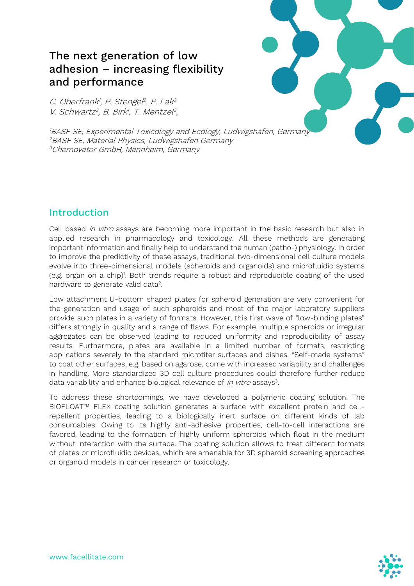# The next generation of low adhesion – increasing flexibility and performance

C. Oberfrank<sup>ı</sup>, P. Stengel<sup>2</sup>, P. Lak<sup>3</sup> V. Schwartz<sup>3</sup>, B. Birk<sup>1</sup>, T. Mentzel<sup>3</sup>,

1 BASF SE, Experimental Toxicology and Ecology, Ludwigshafen, Germany 2BASF SE, Material Physics, Ludwigshafen Germany 3Chemovator GmbH, Mannheim, Germany

### Introduction

Cell based in vitro assays are becoming more important in the basic research but also in applied research in pharmacology and toxicology. All these methods are generating important information and finally help to understand the human (patho-) physiology. In order to improve the predictivity of these assays, traditional two-dimensional cell culture models evolve into three-dimensional models (spheroids and organoids) and microfluidic systems (e.g. organ on a chip)<sup>1</sup>. Both trends require a robust and reproducible coating of the used hardware to generate valid data<sup>2</sup>.

Low attachment U-bottom shaped plates for spheroid generation are very convenient for the generation and usage of such spheroids and most of the major laboratory suppliers provide such plates in a variety of formats. However, this first wave of "low-binding plates" differs strongly in quality and a range of flaws. For example, multiple spheroids or irregular aggregates can be observed leading to reduced uniformity and reproducibility of assay results. Furthermore, plates are available in a limited number of formats, restricting applications severely to the standard microtiter surfaces and dishes. "Self-made systems" to coat other surfaces, e.g. based on agarose, come with increased variability and challenges in handling. More standardized 3D cell culture procedures could therefore further reduce data variability and enhance biological relevance of *in vitro* assays<sup>3</sup>.

To address these shortcomings, we have developed a polymeric coating solution. The BIOFLOAT™ FLEX coating solution generates a surface with excellent protein and cellrepellent properties, leading to a biologically inert surface on different kinds of lab consumables. Owing to its highly anti-adhesive properties, cell-to-cell interactions are favored, leading to the formation of highly uniform spheroids which float in the medium without interaction with the surface. The coating solution allows to treat different formats of plates or microfluidic devices, which are amenable for 3D spheroid screening approaches or organoid models in cancer research or toxicology.

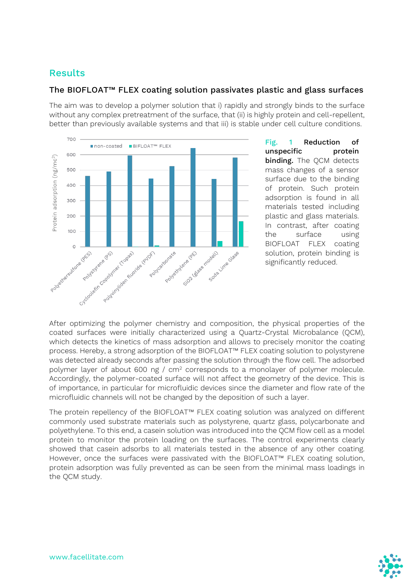## Results

### The BIOFLOAT™ FLEX coating solution passivates plastic and glass surfaces

The aim was to develop a polymer solution that i) rapidly and strongly binds to the surface without any complex pretreatment of the surface, that (ii) is highly protein and cell-repellent, better than previously available systems and that iii) is stable under cell culture conditions.



Fig. 1 Reduction of unspecific protein binding. The QCM detects mass changes of a sensor surface due to the binding of protein. Such protein adsorption is found in all materials tested including plastic and glass materials. In contrast, after coating the surface using BIOFLOAT FLEX coating solution, protein binding is significantly reduced.

After optimizing the polymer chemistry and composition, the physical properties of the coated surfaces were initially characterized using a Quartz-Crystal Microbalance (QCM), which detects the kinetics of mass adsorption and allows to precisely monitor the coating process. Hereby, a strong adsorption of the BIOFLOAT™ FLEX coating solution to polystyrene was detected already seconds after passing the solution through the flow cell. The adsorbed polymer layer of about 600 ng / cm2 corresponds to a monolayer of polymer molecule. Accordingly, the polymer-coated surface will not affect the geometry of the device. This is of importance, in particular for microfluidic devices since the diameter and flow rate of the microfluidic channels will not be changed by the deposition of such a layer.

The protein repellency of the BIOFLOAT™ FLEX coating solution was analyzed on different commonly used substrate materials such as polystyrene, quartz glass, polycarbonate and polyethylene. To this end, a casein solution was introduced into the QCM flow cell as a model protein to monitor the protein loading on the surfaces. The control experiments clearly showed that casein adsorbs to all materials tested in the absence of any other coating. However, once the surfaces were passivated with the BIOFLOAT™ FLEX coating solution, protein adsorption was fully prevented as can be seen from the minimal mass loadings in the QCM study.

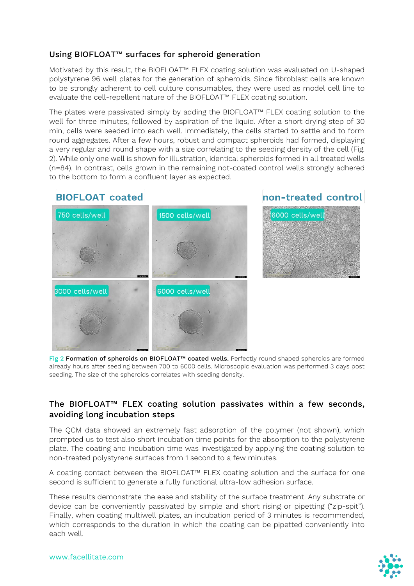### Using BIOFLOAT™ surfaces for spheroid generation

Motivated by this result, the BIOFLOAT™ FLEX coating solution was evaluated on U-shaped polystyrene 96 well plates for the generation of spheroids. Since fibroblast cells are known to be strongly adherent to cell culture consumables, they were used as model cell line to evaluate the cell-repellent nature of the BIOFLOAT™ FLEX coating solution.

The plates were passivated simply by adding the BIOFLOAT™ FLEX coating solution to the well for three minutes, followed by aspiration of the liquid. After a short drying step of 30 min, cells were seeded into each well. Immediately, the cells started to settle and to form round aggregates. After a few hours, robust and compact spheroids had formed, displaying a very regular and round shape with a size correlating to the seeding density of the cell (Fig. 2). While only one well is shown for illustration, identical spheroids formed in all treated wells (n=84). In contrast, cells grown in the remaining not-coated control wells strongly adhered to the bottom to form a confluent layer as expected.



Fig 2 Formation of spheroids on BIOFLOAT<sup>™</sup> coated wells. Perfectly round shaped spheroids are formed already hours after seeding between 700 to 6000 cells. Microscopic evaluation was performed 3 days post seeding. The size of the spheroids correlates with seeding density.

#### The BIOFLOAT™ FLEX coating solution passivates within a few seconds, avoiding long incubation steps

The QCM data showed an extremely fast adsorption of the polymer (not shown), which prompted us to test also short incubation time points for the absorption to the polystyrene plate. The coating and incubation time was investigated by applying the coating solution to non-treated polystyrene surfaces from 1 second to a few minutes.

A coating contact between the BIOFLOAT™ FLEX coating solution and the surface for one second is sufficient to generate a fully functional ultra-low adhesion surface.

These results demonstrate the ease and stability of the surface treatment. Any substrate or device can be conveniently passivated by simple and short rising or pipetting ("zip-spit"). Finally, when coating multiwell plates, an incubation period of 3 minutes is recommended, which corresponds to the duration in which the coating can be pipetted conveniently into each well.

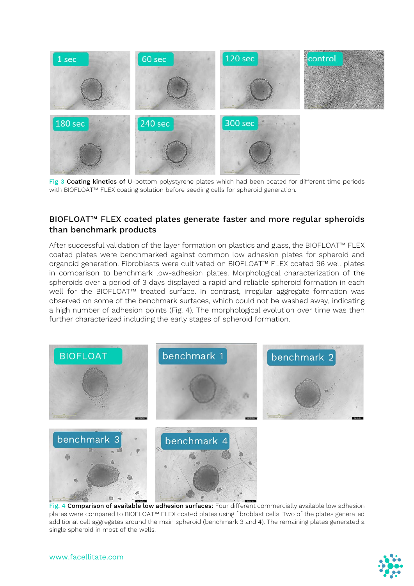

Fig 3 Coating kinetics of U-bottom polystyrene plates which had been coated for different time periods with BIOFLOAT™ FLEX coating solution before seeding cells for spheroid generation.

#### BIOFLOAT™ FLEX coated plates generate faster and more regular spheroids than benchmark products

After successful validation of the layer formation on plastics and glass, the BIOFLOAT™ FLEX coated plates were benchmarked against common low adhesion plates for spheroid and organoid generation. Fibroblasts were cultivated on BIOFLOAT™ FLEX coated 96 well plates in comparison to benchmark low-adhesion plates. Morphological characterization of the spheroids over a period of 3 days displayed a rapid and reliable spheroid formation in each well for the BIOFLOAT™ treated surface. In contrast, irregular aggregate formation was observed on some of the benchmark surfaces, which could not be washed away, indicating a high number of adhesion points (Fig. 4). The morphological evolution over time was then further characterized including the early stages of spheroid formation.



Fig. 4 Comparison of available low adhesion surfaces: Four different commercially available low adhesion plates were compared to BIOFLOAT™ FLEX coated plates using fibroblast cells. Two of the plates generated additional cell aggregates around the main spheroid (benchmark 3 and 4). The remaining plates generated a single spheroid in most of the wells.

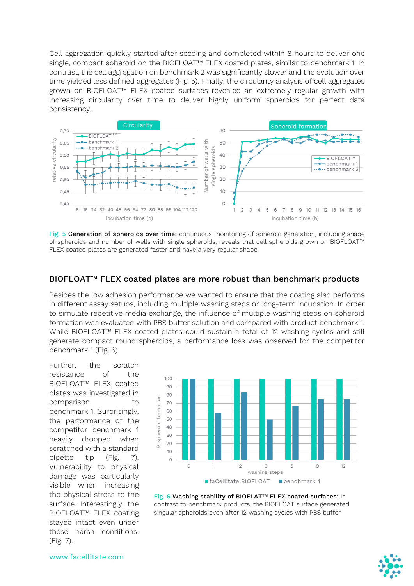Cell aggregation quickly started after seeding and completed within 8 hours to deliver one single, compact spheroid on the BIOFLOAT<sup>™</sup> FLEX coated plates, similar to benchmark 1. In contrast, the cell aggregation on benchmark 2 was significantly slower and the evolution over time yielded less defined aggregates (Fig. 5). Finally, the circularity analysis of cell aggregates grown on BIOFLOAT™ FLEX coated surfaces revealed an extremely regular growth with increasing circularity over time to deliver highly uniform spheroids for perfect data consistency.



Fig. 5 Generation of spheroids over time: continuous monitoring of spheroid generation, including shape of spheroids and number of wells with single spheroids, reveals that cell spheroids grown on BIOFLOAT™ FLEX coated plates are generated faster and have a very regular shape.

#### BIOFLOAT™ FLEX coated plates are more robust than benchmark products

Besides the low adhesion performance we wanted to ensure that the coating also performs in different assay setups, including multiple washing steps or long-term incubation. In order to simulate repetitive media exchange, the influence of multiple washing steps on spheroid formation was evaluated with PBS buffer solution and compared with product benchmark 1. While BIOFLOAT™ FLEX coated plates could sustain a total of 12 washing cycles and still generate compact round spheroids, a performance loss was observed for the competitor benchmark 1 (Fig. 6)

Further, the scratch<br>resistance of the resistance of the BIOFLOAT™ FLEX coated plates was investigated in comparison to benchmark 1. Surprisingly, the performance of the competitor benchmark 1 heavily dropped when scratched with a standard pipette tip (Fig. 7). Vulnerability to physical damage was particularly visible when increasing the physical stress to the surface. Interestingly, the BIOFLOAT™ FLEX coating stayed intact even under these harsh conditions. (Fig. 7).



Fig. 6 Washing stability of BIOFLAT™ FLEX coated surfaces: In contrast to benchmark products, the BIOFLOAT surface generated singular spheroids even after 12 washing cycles with PBS buffer

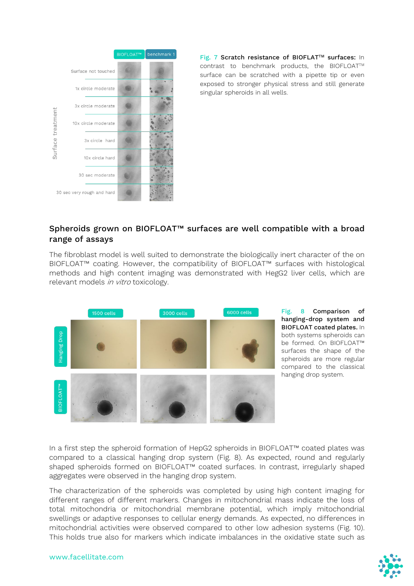

Fig. 7 Scratch resistance of BIOFLAT™ surfaces: In contrast to benchmark products, the BIOFLOAT™ surface can be scratched with a pipette tip or even exposed to stronger physical stress and still generate singular spheroids in all wells.

#### Spheroids grown on BIOFLOAT™ surfaces are well compatible with a broad range of assays

The fibroblast model is well suited to demonstrate the biologically inert character of the on BIOFLOAT™ coating. However, the compatibility of BIOFLOAT™ surfaces with histological methods and high content imaging was demonstrated with HegG2 liver cells, which are relevant models in vitro toxicology.



Fig. 8 Comparison of hanging-drop system and BIOFLOAT coated plates. In both systems spheroids can be formed. On BIOFLOAT™ surfaces the shape of the spheroids are more regular compared to the classical hanging drop system.

In a first step the spheroid formation of HepG2 spheroids in BIOFLOAT™ coated plates was compared to a classical hanging drop system (Fig. 8). As expected, round and regularly shaped spheroids formed on BIOFLOAT™ coated surfaces. In contrast, irregularly shaped aggregates were observed in the hanging drop system.

The characterization of the spheroids was completed by using high content imaging for different ranges of different markers. Changes in mitochondrial mass indicate the loss of total mitochondria or mitochondrial membrane potential, which imply mitochondrial swellings or adaptive responses to cellular energy demands. As expected, no differences in mitochondrial activities were observed compared to other low adhesion systems (Fig. 10). This holds true also for markers which indicate imbalances in the oxidative state such as

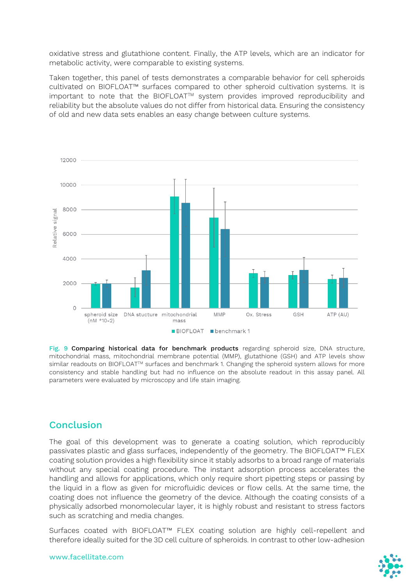oxidative stress and glutathione content. Finally, the ATP levels, which are an indicator for metabolic activity, were comparable to existing systems.

Taken together, this panel of tests demonstrates a comparable behavior for cell spheroids cultivated on BIOFLOAT™ surfaces compared to other spheroid cultivation systems. It is important to note that the BIOFLOAT<sup>TM</sup> system provides improved reproducibility and reliability but the absolute values do not differ from historical data. Ensuring the consistency of old and new data sets enables an easy change between culture systems.



Fig. 9 Comparing historical data for benchmark products regarding spheroid size, DNA structure, mitochondrial mass, mitochondrial membrane potential (MMP), glutathione (GSH) and ATP levels show similar readouts on BIOFLOAT<sup>™</sup> surfaces and benchmark 1. Changing the spheroid system allows for more consistency and stable handling but had no influence on the absolute readout in this assay panel. All parameters were evaluated by microscopy and life stain imaging.

## Conclusion

The goal of this development was to generate a coating solution, which reproducibly passivates plastic and glass surfaces, independently of the geometry. The BIOFLOAT™ FLEX coating solution provides a high flexibility since it stably adsorbs to a broad range of materials without any special coating procedure. The instant adsorption process accelerates the handling and allows for applications, which only require short pipetting steps or passing by the liquid in a flow as given for microfluidic devices or flow cells. At the same time, the coating does not influence the geometry of the device. Although the coating consists of a physically adsorbed monomolecular layer, it is highly robust and resistant to stress factors such as scratching and media changes.

Surfaces coated with BIOFLOAT™ FLEX coating solution are highly cell-repellent and therefore ideally suited for the 3D cell culture of spheroids. In contrast to other low-adhesion

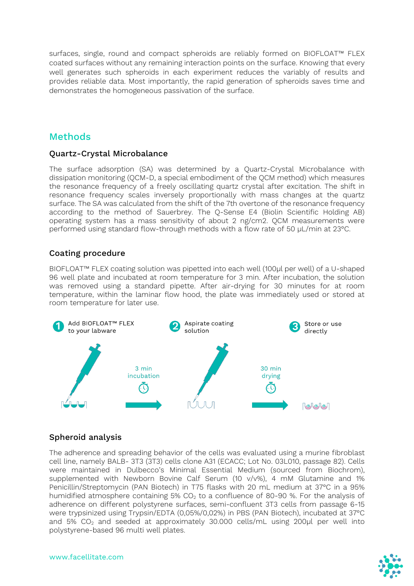surfaces, single, round and compact spheroids are reliably formed on BIOFLOAT<sup>™</sup> FLEX coated surfaces without any remaining interaction points on the surface. Knowing that every well generates such spheroids in each experiment reduces the variably of results and provides reliable data. Most importantly, the rapid generation of spheroids saves time and demonstrates the homogeneous passivation of the surface.

### Methods

#### Quartz-Crystal Microbalance

The surface adsorption (SA) was determined by a Quartz-Crystal Microbalance with dissipation monitoring (QCM-D, a special embodiment of the QCM method) which measures the resonance frequency of a freely oscillating quartz crystal after excitation. The shift in resonance frequency scales inversely proportionally with mass changes at the quartz surface. The SA was calculated from the shift of the 7th overtone of the resonance frequency according to the method of Sauerbrey. The Q-Sense E4 (Biolin Scientific Holding AB) operating system has a mass sensitivity of about 2 ng/cm2. QCM measurements were performed using standard flow-through methods with a flow rate of 50 µL/min at 23°C.

#### Coating procedure

BIOFLOAT™ FLEX coating solution was pipetted into each well (100µl per well) of a U-shaped 96 well plate and incubated at room temperature for 3 min. After incubation, the solution was removed using a standard pipette. After air-drying for 30 minutes for at room temperature, within the laminar flow hood, the plate was immediately used or stored at room temperature for later use.



#### Spheroid analysis

The adherence and spreading behavior of the cells was evaluated using a murine fibroblast cell line, namely BALB- 3T3 (3T3) cells clone A31 (ECACC; Lot No. 03L010, passage 82). Cells were maintained in Dulbecco's Minimal Essential Medium (sourced from Biochrom), supplemented with Newborn Bovine Calf Serum (10 v/v%), 4 mM Glutamine and 1% Penicillin/Streptomycin (PAN Biotech) in T75 flasks with 20 mL medium at 37°C in a 95% humidified atmosphere containing 5%  $CO<sub>2</sub>$  to a confluence of 80-90 %. For the analysis of adherence on different polystyrene surfaces, semi-confluent 3T3 cells from passage 6-15 were trypsinized using Trypsin/EDTA (0,05%/0,02%) in PBS (PAN Biotech), incubated at 37°C and 5%  $CO<sub>2</sub>$  and seeded at approximately 30.000 cells/mL using 200µl per well into polystyrene-based 96 multi well plates.